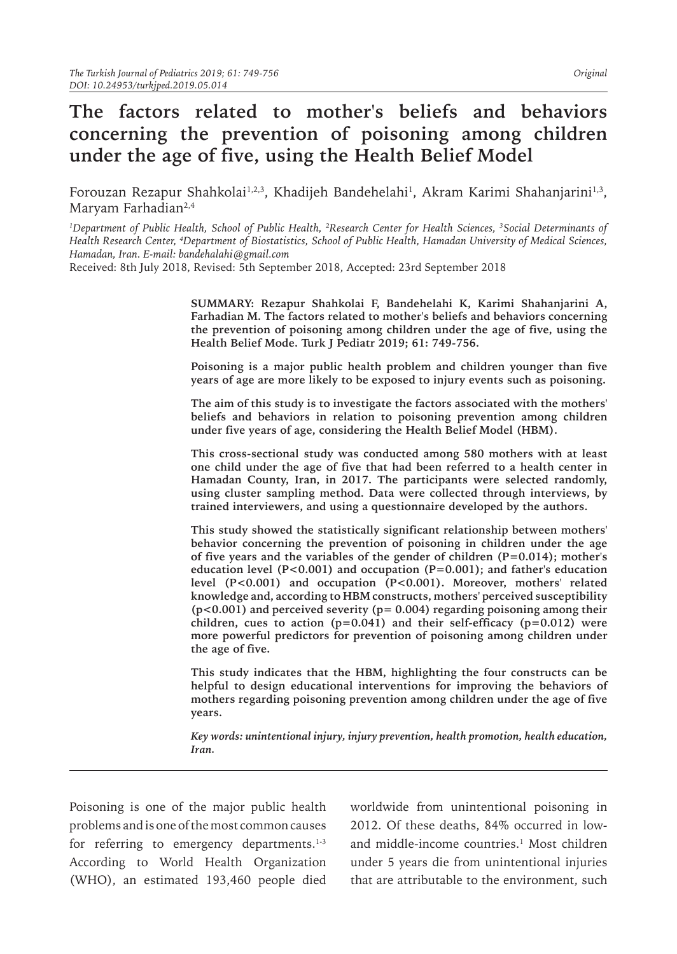# **The factors related to mother's beliefs and behaviors concerning the prevention of poisoning among children under the age of five, using the Health Belief Model**

Forouzan Rezapur Shahkolai½,3, Khadijeh Bandehelahi½, Akram Karimi Shahanjarini½, Maryam Farhadian<sup>2,4</sup>

*1 Department of Public Health, School of Public Health, <sup>2</sup> Research Center for Health Sciences, <sup>3</sup> Social Determinants of Health Research Center, <sup>4</sup> Department of Biostatistics, School of Public Health, Hamadan University of Medical Sciences, Hamadan, Iran. E-mail: bandehalahi@gmail.com*

Received: 8th July 2018, Revised: 5th September 2018, Accepted: 23rd September 2018

**SUMMARY: Rezapur Shahkolai F, Bandehelahi K, Karimi Shahanjarini A, Farhadian M. The factors related to mother's beliefs and behaviors concerning the prevention of poisoning among children under the age of five, using the Health Belief Mode. Turk J Pediatr 2019; 61: 749-756.**

**Poisoning is a major public health problem and children younger than five years of age are more likely to be exposed to injury events such as poisoning.** 

**The aim of this study is to investigate the factors associated with the mothers' beliefs and behaviors in relation to poisoning prevention among children under five years of age, considering the Health Belief Model (HBM).** 

**This cross-sectional study was conducted among 580 mothers with at least one child under the age of five that had been referred to a health center in Hamadan County, Iran, in 2017. The participants were selected randomly, using cluster sampling method. Data were collected through interviews, by trained interviewers, and using a questionnaire developed by the authors.** 

**This study showed the statistically significant relationship between mothers' behavior concerning the prevention of poisoning in children under the age of five years and the variables of the gender of children (P=0.014); mother's education level (P<0.001) and occupation (P=0.001); and father's education level (P<0.001) and occupation (P<0.001). Moreover, mothers' related knowledge and, according to HBM constructs, mothers' perceived susceptibility (p<0.001) and perceived severity (p= 0.004) regarding poisoning among their children, cues to action (p=0.041) and their self-efficacy (p=0.012) were more powerful predictors for prevention of poisoning among children under the age of five.** 

**This study indicates that the HBM, highlighting the four constructs can be helpful to design educational interventions for improving the behaviors of mothers regarding poisoning prevention among children under the age of five years.**

*Key words: unintentional injury, injury prevention, health promotion, health education, Iran.*

Poisoning is one of the major public health problems and is one of the most common causes for referring to emergency departments. $1-3$ According to World Health Organization (WHO), an estimated 193,460 people died worldwide from unintentional poisoning in 2012. Of these deaths, 84% occurred in lowand middle-income countries.<sup>1</sup> Most children under 5 years die from unintentional injuries that are attributable to the environment, such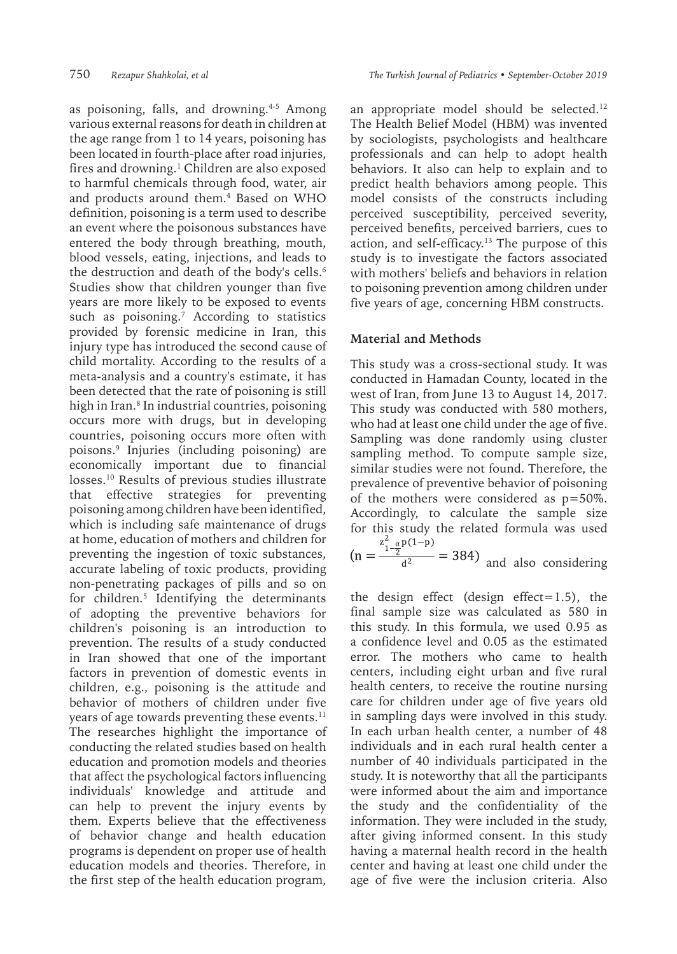as poisoning, falls, and drowning.<sup>4-5</sup> Among various external reasons for death in children at the age range from 1 to 14 years, poisoning has been located in fourth-place after road injuries, fires and drowning.<sup>1</sup> Children are also exposed to harmful chemicals through food, water, air and products around them.4 Based on WHO definition, poisoning is a term used to describe an event where the poisonous substances have entered the body through breathing, mouth, blood vessels, eating, injections, and leads to the destruction and death of the body's cells.<sup>6</sup> Studies show that children younger than five years are more likely to be exposed to events such as poisoning.7 According to statistics provided by forensic medicine in Iran, this injury type has introduced the second cause of child mortality. According to the results of a meta-analysis and a country's estimate, it has been detected that the rate of poisoning is still high in Iran.8 In industrial countries, poisoning occurs more with drugs, but in developing countries, poisoning occurs more often with poisons.9 Injuries (including poisoning) are economically important due to financial losses.10 Results of previous studies illustrate that effective strategies for preventing poisoning among children have been identified, which is including safe maintenance of drugs at home, education of mothers and children for preventing the ingestion of toxic substances, accurate labeling of toxic products, providing non-penetrating packages of pills and so on for children.5 Identifying the determinants of adopting the preventive behaviors for children's poisoning is an introduction to prevention. The results of a study conducted in Iran showed that one of the important factors in prevention of domestic events in children, e.g., poisoning is the attitude and behavior of mothers of children under five years of age towards preventing these events. $^{11}$ The researches highlight the importance of conducting the related studies based on health education and promotion models and theories that affect the psychological factors influencing individuals' knowledge and attitude and can help to prevent the injury events by them. Experts believe that the effectiveness of behavior change and health education programs is dependent on proper use of health education models and theories. Therefore, in the first step of the health education program,

an appropriate model should be selected.<sup>12</sup> The Health Belief Model (HBM) was invented by sociologists, psychologists and healthcare professionals and can help to adopt health behaviors. It also can help to explain and to predict health behaviors among people. This model consists of the constructs including perceived susceptibility, perceived severity, perceived benefits, perceived barriers, cues to action, and self-efficacy.<sup>13</sup> The purpose of this study is to investigate the factors associated with mothers' beliefs and behaviors in relation to poisoning prevention among children under five years of age, concerning HBM constructs.

#### **Material and Methods**

This study was a cross-sectional study. It was conducted in Hamadan County, located in the west of Iran, from June 13 to August 14, 2017. This study was conducted with 580 mothers, who had at least one child under the age of five. Sampling was done randomly using cluster sampling method. To compute sample size, similar studies were not found. Therefore, the prevalence of preventive behavior of poisoning of the mothers were considered as p=50%. Accordingly, to calculate the sample size for this study the related formula was used  $(n = \frac{z_{1-\alpha}^2 p(1-p)}{d^2})$  and also considering

the design effect (design effect=1.5), the final sample size was calculated as 580 in this study. In this formula, we used 0.95 as a confidence level and 0.05 as the estimated error. The mothers who came to health centers, including eight urban and five rural health centers, to receive the routine nursing care for children under age of five years old in sampling days were involved in this study. In each urban health center, a number of 48 individuals and in each rural health center a number of 40 individuals participated in the study. It is noteworthy that all the participants were informed about the aim and importance the study and the confidentiality of the information. They were included in the study, after giving informed consent. In this study having a maternal health record in the health center and having at least one child under the age of five were the inclusion criteria. Also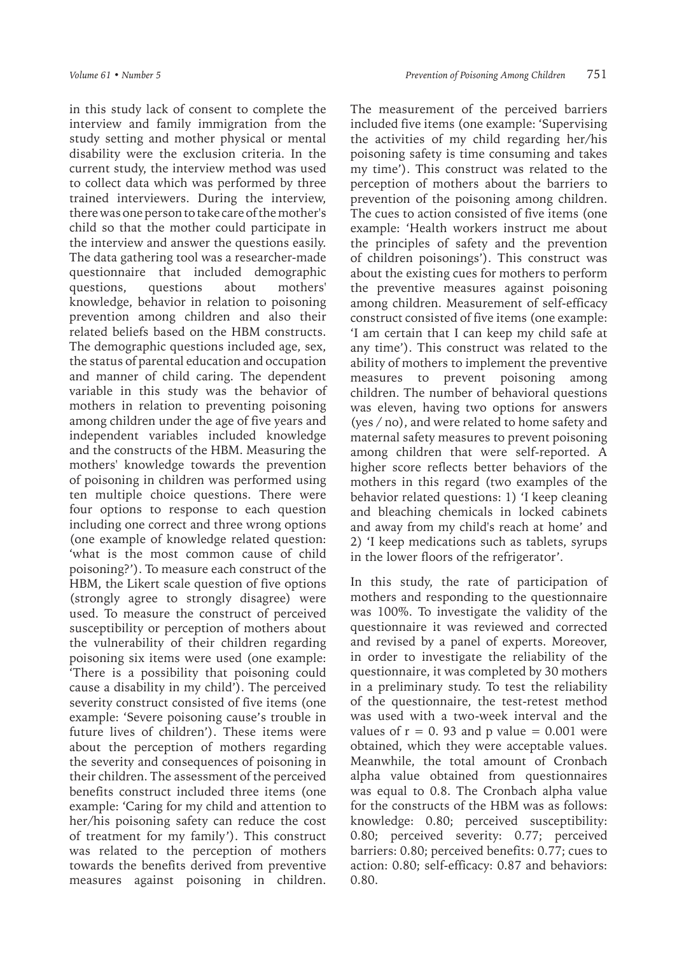in this study lack of consent to complete the interview and family immigration from the study setting and mother physical or mental disability were the exclusion criteria. In the current study, the interview method was used to collect data which was performed by three trained interviewers. During the interview, there was one person to take care of the mother's child so that the mother could participate in the interview and answer the questions easily. The data gathering tool was a researcher-made questionnaire that included demographic questions, questions about mothers' knowledge, behavior in relation to poisoning prevention among children and also their related beliefs based on the HBM constructs. The demographic questions included age, sex, the status of parental education and occupation and manner of child caring. The dependent variable in this study was the behavior of mothers in relation to preventing poisoning among children under the age of five years and independent variables included knowledge and the constructs of the HBM. Measuring the mothers' knowledge towards the prevention of poisoning in children was performed using ten multiple choice questions. There were four options to response to each question including one correct and three wrong options (one example of knowledge related question: 'what is the most common cause of child poisoning?'). To measure each construct of the HBM, the Likert scale question of five options (strongly agree to strongly disagree) were used. To measure the construct of perceived susceptibility or perception of mothers about the vulnerability of their children regarding poisoning six items were used (one example: 'There is a possibility that poisoning could cause a disability in my child'). The perceived severity construct consisted of five items (one example: 'Severe poisoning cause's trouble in future lives of children'). These items were about the perception of mothers regarding the severity and consequences of poisoning in their children. The assessment of the perceived benefits construct included three items (one example: 'Caring for my child and attention to her/his poisoning safety can reduce the cost of treatment for my family'). This construct was related to the perception of mothers towards the benefits derived from preventive measures against poisoning in children.

The measurement of the perceived barriers included five items (one example: 'Supervising the activities of my child regarding her/his poisoning safety is time consuming and takes my time'). This construct was related to the perception of mothers about the barriers to prevention of the poisoning among children. The cues to action consisted of five items (one example: 'Health workers instruct me about the principles of safety and the prevention of children poisonings'). This construct was about the existing cues for mothers to perform the preventive measures against poisoning among children. Measurement of self-efficacy construct consisted of five items (one example: 'I am certain that I can keep my child safe at any time'). This construct was related to the ability of mothers to implement the preventive measures to prevent poisoning among children. The number of behavioral questions was eleven, having two options for answers (yes / no), and were related to home safety and maternal safety measures to prevent poisoning among children that were self-reported. A higher score reflects better behaviors of the mothers in this regard (two examples of the behavior related questions: 1) 'I keep cleaning and bleaching chemicals in locked cabinets and away from my child's reach at home' and 2) 'I keep medications such as tablets, syrups in the lower floors of the refrigerator'.

In this study, the rate of participation of mothers and responding to the questionnaire was 100%. To investigate the validity of the questionnaire it was reviewed and corrected and revised by a panel of experts. Moreover, in order to investigate the reliability of the questionnaire, it was completed by 30 mothers in a preliminary study. To test the reliability of the questionnaire, the test-retest method was used with a two-week interval and the values of  $r = 0$ . 93 and p value = 0.001 were obtained, which they were acceptable values. Meanwhile, the total amount of Cronbach alpha value obtained from questionnaires was equal to 0.8. The Cronbach alpha value for the constructs of the HBM was as follows: knowledge: 0.80; perceived susceptibility: 0.80; perceived severity: 0.77; perceived barriers: 0.80; perceived benefits: 0.77; cues to action: 0.80; self-efficacy: 0.87 and behaviors: 0.80.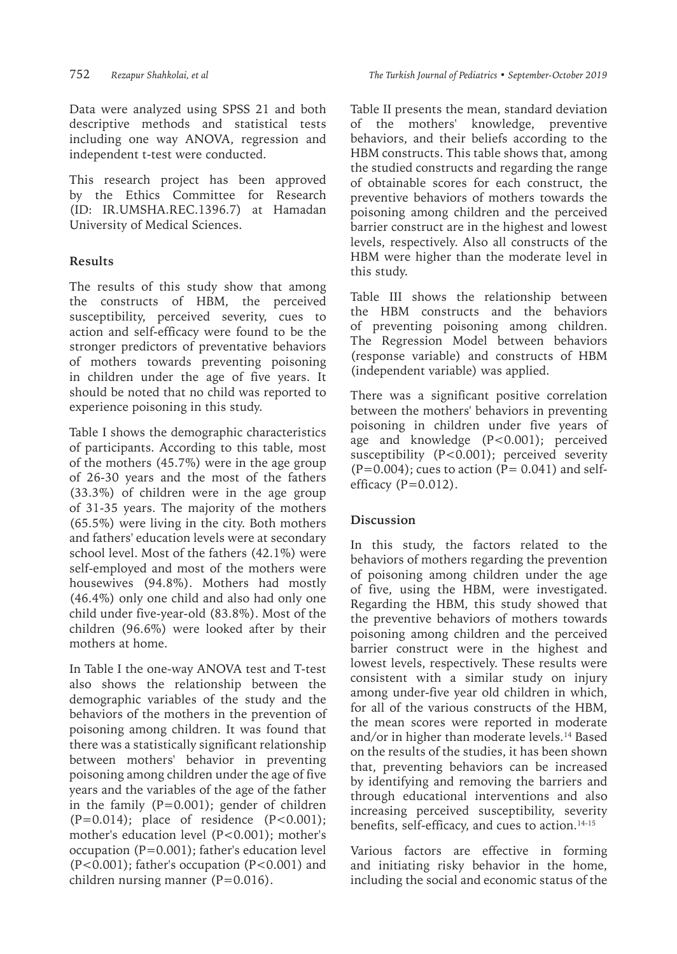Data were analyzed using SPSS 21 and both descriptive methods and statistical tests including one way ANOVA, regression and independent t-test were conducted.

This research project has been approved by the Ethics Committee for Research (ID: IR.UMSHA.REC.1396.7) at Hamadan University of Medical Sciences.

## **Results**

The results of this study show that among the constructs of HBM, the perceived susceptibility, perceived severity, cues to action and self-efficacy were found to be the stronger predictors of preventative behaviors of mothers towards preventing poisoning in children under the age of five years. It should be noted that no child was reported to experience poisoning in this study.

Table I shows the demographic characteristics of participants. According to this table, most of the mothers (45.7%) were in the age group of 26-30 years and the most of the fathers (33.3%) of children were in the age group of 31-35 years. The majority of the mothers (65.5%) were living in the city. Both mothers and fathers' education levels were at secondary school level. Most of the fathers (42.1%) were self-employed and most of the mothers were housewives (94.8%). Mothers had mostly (46.4%) only one child and also had only one child under five-year-old (83.8%). Most of the children (96.6%) were looked after by their mothers at home.

In Table I the one-way ANOVA test and T-test also shows the relationship between the demographic variables of the study and the behaviors of the mothers in the prevention of poisoning among children. It was found that there was a statistically significant relationship between mothers' behavior in preventing poisoning among children under the age of five years and the variables of the age of the father in the family (P=0.001); gender of children  $(P=0.014)$ ; place of residence  $(P<0.001)$ ; mother's education level (P<0.001); mother's occupation (P=0.001); father's education level (P<0.001); father's occupation (P<0.001) and children nursing manner  $(P=0.016)$ .

Table II presents the mean, standard deviation of the mothers' knowledge, preventive behaviors, and their beliefs according to the HBM constructs. This table shows that, among the studied constructs and regarding the range of obtainable scores for each construct, the preventive behaviors of mothers towards the poisoning among children and the perceived barrier construct are in the highest and lowest levels, respectively. Also all constructs of the HBM were higher than the moderate level in this study.

Table III shows the relationship between the HBM constructs and the behaviors of preventing poisoning among children. The Regression Model between behaviors (response variable) and constructs of HBM (independent variable) was applied.

There was a significant positive correlation between the mothers' behaviors in preventing poisoning in children under five years of age and knowledge (P<0.001); perceived susceptibility (P<0.001); perceived severity  $(P=0.004)$ ; cues to action  $(P= 0.041)$  and selfefficacy  $(P=0.012)$ .

## **Discussion**

In this study, the factors related to the behaviors of mothers regarding the prevention of poisoning among children under the age of five, using the HBM, were investigated. Regarding the HBM, this study showed that the preventive behaviors of mothers towards poisoning among children and the perceived barrier construct were in the highest and lowest levels, respectively. These results were consistent with a similar study on injury among under-five year old children in which, for all of the various constructs of the HBM, the mean scores were reported in moderate and/or in higher than moderate levels.14 Based on the results of the studies, it has been shown that, preventing behaviors can be increased by identifying and removing the barriers and through educational interventions and also increasing perceived susceptibility, severity benefits, self-efficacy, and cues to action.<sup>14-15</sup>

Various factors are effective in forming and initiating risky behavior in the home, including the social and economic status of the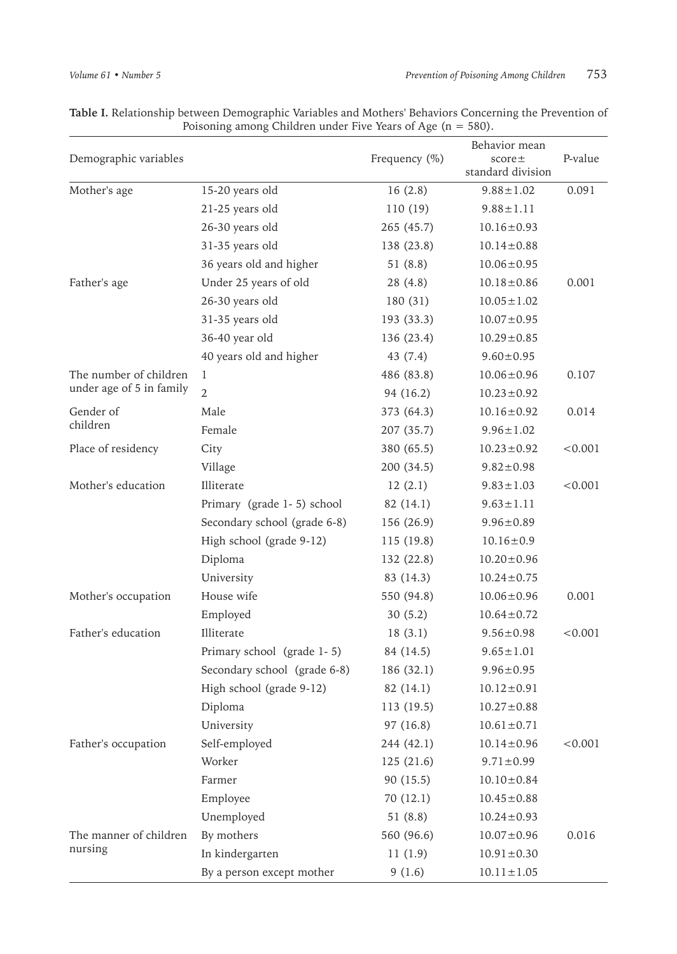| Demographic variables    |                              | Frequency (%)               | Behavior mean<br>$score \pm$<br>standard division | P-value |  |
|--------------------------|------------------------------|-----------------------------|---------------------------------------------------|---------|--|
| Mother's age             | 15-20 years old              | 16(2.8)                     | $9.88 \pm 1.02$                                   | 0.091   |  |
|                          | 21-25 years old              | 110 (19)                    | $9.88 \pm 1.11$                                   |         |  |
|                          | 26-30 years old              | 265 (45.7)                  | $10.16 \pm 0.93$                                  |         |  |
|                          | 31-35 years old              | 138 (23.8)                  | $10.14 \pm 0.88$                                  |         |  |
|                          | 36 years old and higher      | 51(8.8)                     | $10.06 \pm 0.95$                                  |         |  |
| Father's age             | Under 25 years of old        | 28(4.8)                     | $10.18 \pm 0.86$                                  | 0.001   |  |
|                          | 26-30 years old              | 180(31)                     | $10.05 \pm 1.02$                                  |         |  |
|                          | 31-35 years old              | 193 (33.3)                  | $10.07 \pm 0.95$                                  |         |  |
|                          | 36-40 year old               | 136 (23.4)                  | $10.29 \pm 0.85$                                  |         |  |
|                          | 40 years old and higher      | 43 (7.4)                    | $9.60 \pm 0.95$                                   |         |  |
| The number of children   | 1                            | 486 (83.8)                  | $10.06 \pm 0.96$                                  | 0.107   |  |
| under age of 5 in family | $\overline{2}$               | 94 (16.2)                   | $10.23 \pm 0.92$                                  |         |  |
| Gender of                | Male                         | 373 (64.3)                  | $10.16 \pm 0.92$                                  | 0.014   |  |
| children                 | Female                       | 207 (35.7)                  | $9.96 \pm 1.02$                                   |         |  |
| Place of residency       | City                         | 380 (65.5)                  | $10.23 \pm 0.92$                                  | < 0.001 |  |
|                          | Village                      | 200 (34.5)                  | $9.82 \pm 0.98$                                   |         |  |
| Mother's education       | Illiterate                   | 12(2.1)                     | $9.83 \pm 1.03$                                   | < 0.001 |  |
|                          | Primary (grade 1-5) school   | 82 (14.1)                   | $9.63 \pm 1.11$                                   |         |  |
|                          | Secondary school (grade 6-8) | 156 (26.9)                  | $9.96 \pm 0.89$                                   |         |  |
|                          | High school (grade 9-12)     | 115 (19.8)                  | $10.16 \pm 0.9$                                   |         |  |
|                          | Diploma                      | 132 (22.8)                  | $10.20 \pm 0.96$                                  |         |  |
|                          | University                   | 83 (14.3)                   | $10.24 \pm 0.75$                                  |         |  |
| Mother's occupation      | House wife                   | 550 (94.8)                  | $10.06 \pm 0.96$                                  | 0.001   |  |
|                          | Employed                     | 30(5.2)<br>$10.64 \pm 0.72$ |                                                   |         |  |
| Father's education       | Illiterate                   | 18(3.1)                     | $9.56 \pm 0.98$                                   | < 0.001 |  |
|                          | Primary school (grade 1-5)   | 84 (14.5)                   | $9.65 \pm 1.01$                                   |         |  |
|                          | Secondary school (grade 6-8) | 186 (32.1)                  | $9.96 \pm 0.95$                                   |         |  |
|                          | High school (grade 9-12)     | 82 (14.1)                   | $10.12 \pm 0.91$                                  |         |  |
|                          | Diploma                      | 113 (19.5)                  | $10.27 \pm 0.88$                                  |         |  |
|                          | University                   | 97(16.8)                    | $10.61 \pm 0.71$                                  |         |  |
| Father's occupation      | Self-employed                | 244 (42.1)                  | $10.14 \pm 0.96$                                  | < 0.001 |  |
|                          | Worker                       | 125(21.6)                   | $9.71 \pm 0.99$                                   |         |  |
|                          | Farmer                       | 90(15.5)                    | $10.10 \pm 0.84$                                  |         |  |
|                          | Employee                     | 70(12.1)                    | $10.45 \pm 0.88$                                  |         |  |
|                          | Unemployed                   | 51(8.8)                     | $10.24 \pm 0.93$                                  |         |  |
| The manner of children   | By mothers                   | 560 (96.6)                  | $10.07 \pm 0.96$                                  | 0.016   |  |
| nursing                  | In kindergarten              | 11(1.9)                     | $10.91 \pm 0.30$                                  |         |  |
|                          | By a person except mother    | 9(1.6)                      | $10.11 \pm 1.05$                                  |         |  |

**Table I.** Relationship between Demographic Variables and Mothers' Behaviors Concerning the Prevention of Poisoning among Children under Five Years of Age ( $n = 580$ ).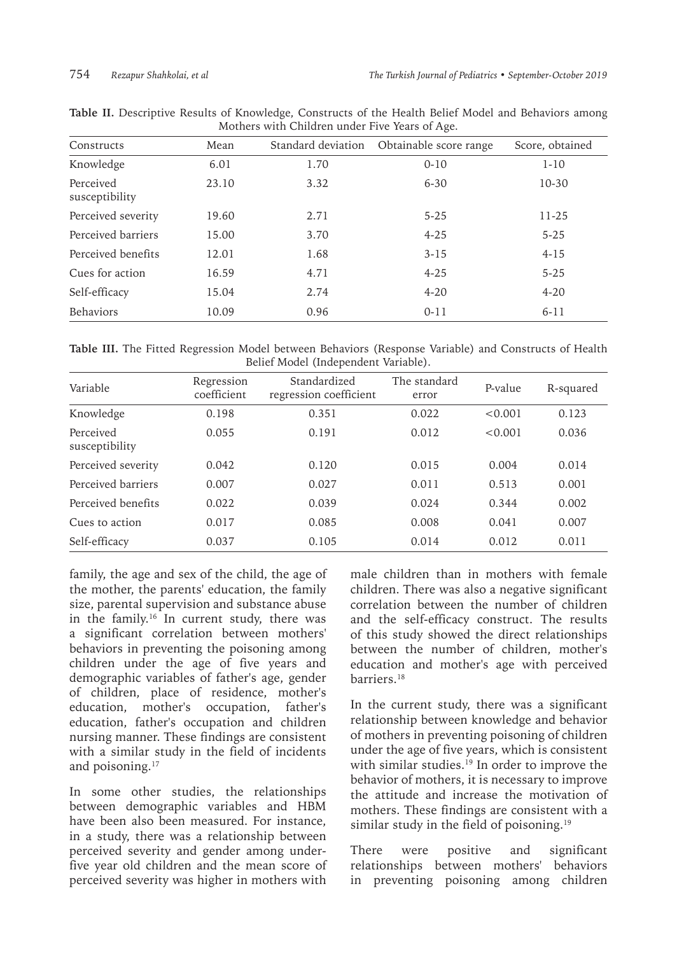| Constructs                  | Mean  |      | Standard deviation Obtainable score range | Score, obtained |
|-----------------------------|-------|------|-------------------------------------------|-----------------|
| Knowledge                   | 6.01  | 1.70 | $0 - 10$                                  | $1 - 10$        |
| Perceived<br>susceptibility | 23.10 | 3.32 | $6 - 30$                                  | $10 - 30$       |
| Perceived severity          | 19.60 | 2.71 | $5 - 25$                                  | 11-25           |
| Perceived barriers          | 15.00 | 3.70 | $4 - 25$                                  | $5 - 25$        |
| Perceived benefits          | 12.01 | 1.68 | $3 - 15$                                  | $4 - 15$        |
| Cues for action             | 16.59 | 4.71 | $4 - 25$                                  | $5 - 25$        |
| Self-efficacy               | 15.04 | 2.74 | $4 - 20$                                  | $4 - 20$        |
| <b>Behaviors</b>            | 10.09 | 0.96 | $0 - 11$                                  | $6 - 11$        |

|                                                |  |  | Table II. Descriptive Results of Knowledge, Constructs of the Health Belief Model and Behaviors among |  |  |  |  |  |  |  |  |
|------------------------------------------------|--|--|-------------------------------------------------------------------------------------------------------|--|--|--|--|--|--|--|--|
| Mothers with Children under Five Years of Age. |  |  |                                                                                                       |  |  |  |  |  |  |  |  |

**Table III.** The Fitted Regression Model between Behaviors (Response Variable) and Constructs of Health Belief Model (Independent Variable).

| Variable                    | Regression<br>coefficient | Standardized<br>regression coefficient | The standard<br>error | P-value | R-squared |
|-----------------------------|---------------------------|----------------------------------------|-----------------------|---------|-----------|
| Knowledge                   | 0.198                     | 0.351                                  | 0.022                 | < 0.001 | 0.123     |
| Perceived<br>susceptibility | 0.055                     | 0.191                                  | 0.012                 | < 0.001 | 0.036     |
| Perceived severity          | 0.042                     | 0.120                                  | 0.015                 | 0.004   | 0.014     |
| Perceived barriers          | 0.007                     | 0.027                                  | 0.011                 | 0.513   | 0.001     |
| Perceived benefits          | 0.022                     | 0.039                                  | 0.024                 | 0.344   | 0.002     |
| Cues to action              | 0.017                     | 0.085                                  | 0.008                 | 0.041   | 0.007     |
| Self-efficacy               | 0.037                     | 0.105                                  | 0.014                 | 0.012   | 0.011     |

family, the age and sex of the child, the age of the mother, the parents' education, the family size, parental supervision and substance abuse in the family.<sup>16</sup> In current study, there was a significant correlation between mothers' behaviors in preventing the poisoning among children under the age of five years and demographic variables of father's age, gender of children, place of residence, mother's education, mother's occupation, father's education, father's occupation and children nursing manner. These findings are consistent with a similar study in the field of incidents and poisoning.<sup>17</sup>

In some other studies, the relationships between demographic variables and HBM have been also been measured. For instance, in a study, there was a relationship between perceived severity and gender among underfive year old children and the mean score of perceived severity was higher in mothers with

male children than in mothers with female children. There was also a negative significant correlation between the number of children and the self-efficacy construct. The results of this study showed the direct relationships between the number of children, mother's education and mother's age with perceived barriers.18

In the current study, there was a significant relationship between knowledge and behavior of mothers in preventing poisoning of children under the age of five years, which is consistent with similar studies.<sup>19</sup> In order to improve the behavior of mothers, it is necessary to improve the attitude and increase the motivation of mothers. These findings are consistent with a similar study in the field of poisoning.<sup>19</sup>

There were positive and significant relationships between mothers' behaviors in preventing poisoning among children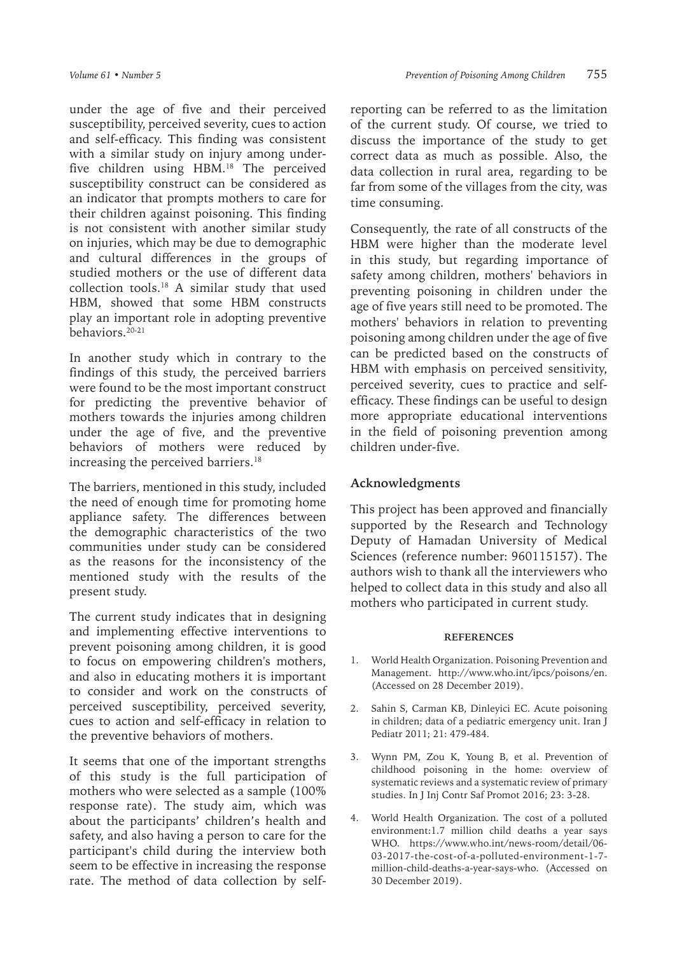under the age of five and their perceived susceptibility, perceived severity, cues to action and self-efficacy. This finding was consistent with a similar study on injury among underfive children using HBM.<sup>18</sup> The perceived susceptibility construct can be considered as an indicator that prompts mothers to care for their children against poisoning. This finding is not consistent with another similar study on injuries, which may be due to demographic and cultural differences in the groups of studied mothers or the use of different data collection tools.<sup>18</sup> A similar study that used HBM, showed that some HBM constructs play an important role in adopting preventive behaviors.<sup>20-21</sup>

In another study which in contrary to the findings of this study, the perceived barriers were found to be the most important construct for predicting the preventive behavior of mothers towards the injuries among children under the age of five, and the preventive behaviors of mothers were reduced by increasing the perceived barriers.<sup>18</sup>

The barriers, mentioned in this study, included the need of enough time for promoting home appliance safety. The differences between the demographic characteristics of the two communities under study can be considered as the reasons for the inconsistency of the mentioned study with the results of the present study.

The current study indicates that in designing and implementing effective interventions to prevent poisoning among children, it is good to focus on empowering children's mothers, and also in educating mothers it is important to consider and work on the constructs of perceived susceptibility, perceived severity, cues to action and self-efficacy in relation to the preventive behaviors of mothers.

It seems that one of the important strengths of this study is the full participation of mothers who were selected as a sample (100% response rate). The study aim, which was about the participants' children's health and safety, and also having a person to care for the participant's child during the interview both seem to be effective in increasing the response rate. The method of data collection by selfreporting can be referred to as the limitation of the current study. Of course, we tried to discuss the importance of the study to get correct data as much as possible. Also, the data collection in rural area, regarding to be far from some of the villages from the city, was time consuming.

Consequently, the rate of all constructs of the HBM were higher than the moderate level in this study, but regarding importance of safety among children, mothers' behaviors in preventing poisoning in children under the age of five years still need to be promoted. The mothers' behaviors in relation to preventing poisoning among children under the age of five can be predicted based on the constructs of HBM with emphasis on perceived sensitivity, perceived severity, cues to practice and selfefficacy. These findings can be useful to design more appropriate educational interventions in the field of poisoning prevention among children under-five.

### **Acknowledgments**

This project has been approved and financially supported by the Research and Technology Deputy of Hamadan University of Medical Sciences (reference number: 960115157). The authors wish to thank all the interviewers who helped to collect data in this study and also all mothers who participated in current study.

#### **REFERENCES**

- 1. World Health Organization. Poisoning Prevention and Management. http://www.who.int/ipcs/poisons/en. (Accessed on 28 December 2019).
- 2. Sahin S, Carman KB, Dinleyici EC. Acute poisoning in children; data of a pediatric emergency unit. Iran J Pediatr 2011; 21: 479-484.
- 3. Wynn PM, Zou K, Young B, et al. Prevention of childhood poisoning in the home: overview of systematic reviews and a systematic review of primary studies. In J Inj Contr Saf Promot 2016; 23: 3-28.
- 4. World Health Organization. The cost of a polluted environment:1.7 million child deaths a year says WHO. https://www.who.int/news-room/detail/06- 03-2017-the-cost-of-a-polluted-environment-1-7 million-child-deaths-a-year-says-who. (Accessed on 30 December 2019).